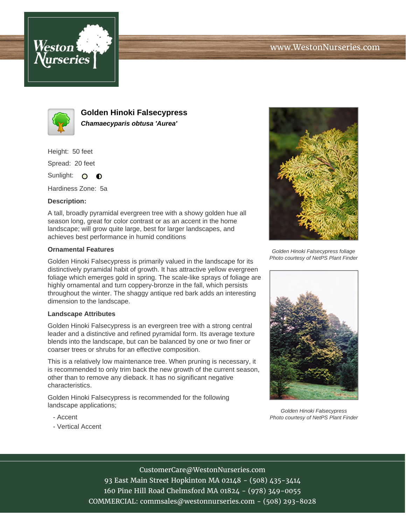



**Golden Hinoki Falsecypress Chamaecyparis obtusa 'Aurea'**

Height: 50 feet

Spread: 20 feet

Sunlight: O **O** 

Hardiness Zone: 5a

## **Description:**

A tall, broadly pyramidal evergreen tree with a showy golden hue all season long, great for color contrast or as an accent in the home landscape; will grow quite large, best for larger landscapes, and achieves best performance in humid conditions

## **Ornamental Features**

Golden Hinoki Falsecypress is primarily valued in the landscape for its distinctively pyramidal habit of growth. It has attractive yellow evergreen foliage which emerges gold in spring. The scale-like sprays of foliage are highly ornamental and turn coppery-bronze in the fall, which persists throughout the winter. The shaggy antique red bark adds an interesting dimension to the landscape.

## **Landscape Attributes**

Golden Hinoki Falsecypress is an evergreen tree with a strong central leader and a distinctive and refined pyramidal form. Its average texture blends into the landscape, but can be balanced by one or two finer or coarser trees or shrubs for an effective composition.

This is a relatively low maintenance tree. When pruning is necessary, it is recommended to only trim back the new growth of the current season, other than to remove any dieback. It has no significant negative characteristics.

Golden Hinoki Falsecypress is recommended for the following landscape applications;

- Accent
- Vertical Accent



Golden Hinoki Falsecypress foliage Photo courtesy of NetPS Plant Finder



Golden Hinoki Falsecypress Photo courtesy of NetPS Plant Finder

CustomerCare@WestonNurseries.com

93 East Main Street Hopkinton MA 02148 - (508) 435-3414 160 Pine Hill Road Chelmsford MA 01824 - (978) 349-0055 COMMERCIAL: commsales@westonnurseries.com - (508) 293-8028